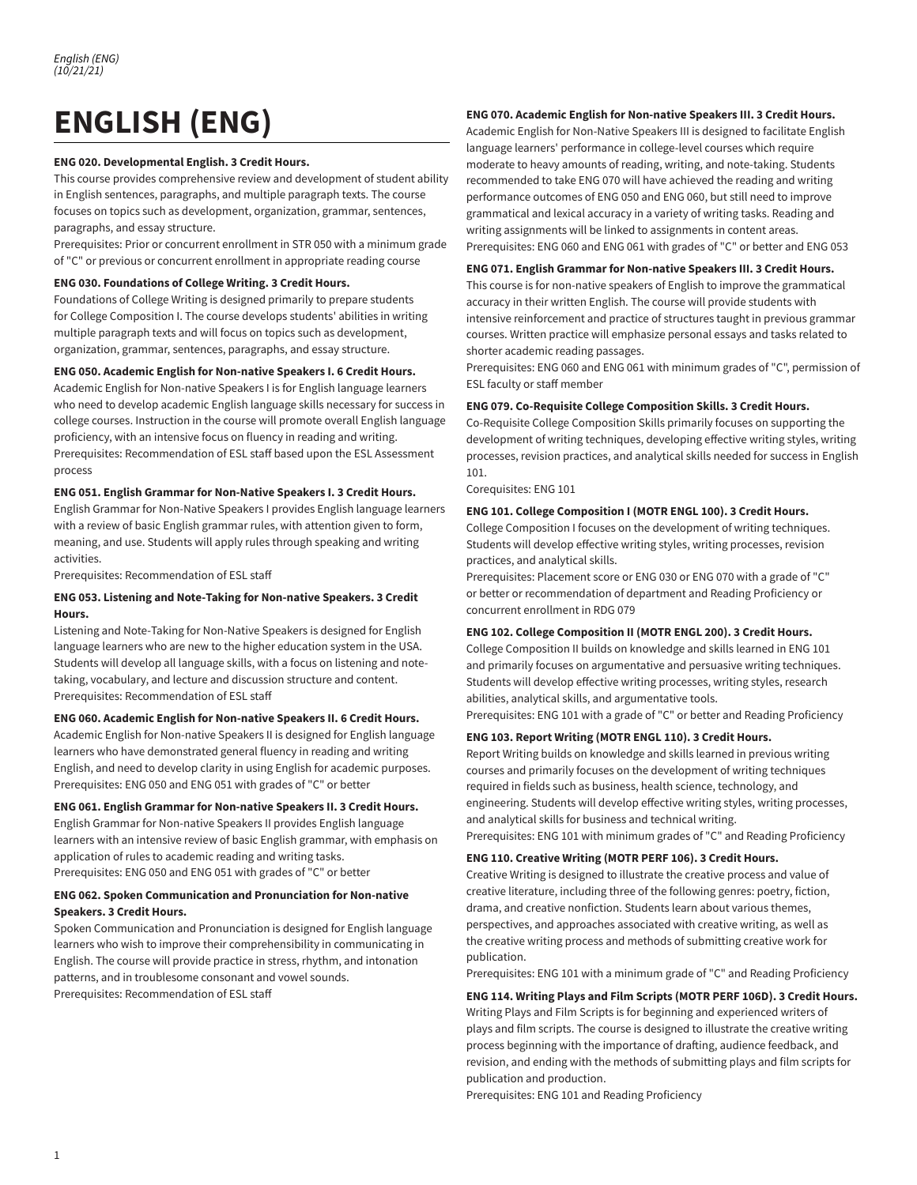# **ENGLISH (ENG)**

#### **ENG 020. Developmental English. 3 Credit Hours.**

This course provides comprehensive review and development of student ability in English sentences, paragraphs, and multiple paragraph texts. The course focuses on topics such as development, organization, grammar, sentences, paragraphs, and essay structure.

Prerequisites: Prior or concurrent enrollment in STR 050 with a minimum grade of "C" or previous or concurrent enrollment in appropriate reading course

#### **ENG 030. Foundations of College Writing. 3 Credit Hours.**

Foundations of College Writing is designed primarily to prepare students for College Composition I. The course develops students' abilities in writing multiple paragraph texts and will focus on topics such as development, organization, grammar, sentences, paragraphs, and essay structure.

#### **ENG 050. Academic English for Non-native Speakers I. 6 Credit Hours.**

Academic English for Non-native Speakers I is for English language learners who need to develop academic English language skills necessary for success in college courses. Instruction in the course will promote overall English language proficiency, with an intensive focus on fluency in reading and writing. Prerequisites: Recommendation of ESL staff based upon the ESL Assessment process

#### **ENG 051. English Grammar for Non-Native Speakers I. 3 Credit Hours.**

English Grammar for Non-Native Speakers I provides English language learners with a review of basic English grammar rules, with attention given to form, meaning, and use. Students will apply rules through speaking and writing activities.

Prerequisites: Recommendation of ESL staff

### **ENG 053. Listening and Note-Taking for Non-native Speakers. 3 Credit Hours.**

Listening and Note-Taking for Non-Native Speakers is designed for English language learners who are new to the higher education system in the USA. Students will develop all language skills, with a focus on listening and notetaking, vocabulary, and lecture and discussion structure and content. Prerequisites: Recommendation of ESL staff

## **ENG 060. Academic English for Non-native Speakers II. 6 Credit Hours.**

Academic English for Non-native Speakers II is designed for English language learners who have demonstrated general fluency in reading and writing English, and need to develop clarity in using English for academic purposes. Prerequisites: ENG 050 and ENG 051 with grades of "C" or better

## **ENG 061. English Grammar for Non-native Speakers II. 3 Credit Hours.**

English Grammar for Non-native Speakers II provides English language learners with an intensive review of basic English grammar, with emphasis on application of rules to academic reading and writing tasks. Prerequisites: ENG 050 and ENG 051 with grades of "C" or better

## **ENG 062. Spoken Communication and Pronunciation for Non-native Speakers. 3 Credit Hours.**

Spoken Communication and Pronunciation is designed for English language learners who wish to improve their comprehensibility in communicating in English. The course will provide practice in stress, rhythm, and intonation patterns, and in troublesome consonant and vowel sounds. Prerequisites: Recommendation of ESL staff

## **ENG 070. Academic English for Non-native Speakers III. 3 Credit Hours.**

Academic English for Non-Native Speakers III is designed to facilitate English language learners' performance in college-level courses which require moderate to heavy amounts of reading, writing, and note-taking. Students recommended to take ENG 070 will have achieved the reading and writing performance outcomes of ENG 050 and ENG 060, but still need to improve grammatical and lexical accuracy in a variety of writing tasks. Reading and writing assignments will be linked to assignments in content areas. Prerequisites: ENG 060 and ENG 061 with grades of "C" or better and ENG 053

#### **ENG 071. English Grammar for Non-native Speakers III. 3 Credit Hours.**

This course is for non-native speakers of English to improve the grammatical accuracy in their written English. The course will provide students with intensive reinforcement and practice of structures taught in previous grammar courses. Written practice will emphasize personal essays and tasks related to shorter academic reading passages.

Prerequisites: ENG 060 and ENG 061 with minimum grades of "C", permission of ESL faculty or staff member

#### **ENG 079. Co-Requisite College Composition Skills. 3 Credit Hours.**

Co-Requisite College Composition Skills primarily focuses on supporting the development of writing techniques, developing effective writing styles, writing processes, revision practices, and analytical skills needed for success in English 101.

Corequisites: ENG 101

#### **ENG 101. College Composition I (MOTR ENGL 100). 3 Credit Hours.**

College Composition I focuses on the development of writing techniques. Students will develop effective writing styles, writing processes, revision practices, and analytical skills.

Prerequisites: Placement score or ENG 030 or ENG 070 with a grade of "C" or better or recommendation of department and Reading Proficiency or concurrent enrollment in RDG 079

# **ENG 102. College Composition II (MOTR ENGL 200). 3 Credit Hours.**

College Composition II builds on knowledge and skills learned in ENG 101 and primarily focuses on argumentative and persuasive writing techniques. Students will develop effective writing processes, writing styles, research abilities, analytical skills, and argumentative tools.

Prerequisites: ENG 101 with a grade of "C" or better and Reading Proficiency

## **ENG 103. Report Writing (MOTR ENGL 110). 3 Credit Hours.**

Report Writing builds on knowledge and skills learned in previous writing courses and primarily focuses on the development of writing techniques required in fields such as business, health science, technology, and engineering. Students will develop effective writing styles, writing processes, and analytical skills for business and technical writing.

Prerequisites: ENG 101 with minimum grades of "C" and Reading Proficiency

#### **ENG 110. Creative Writing (MOTR PERF 106). 3 Credit Hours.**

Creative Writing is designed to illustrate the creative process and value of creative literature, including three of the following genres: poetry, fiction, drama, and creative nonfiction. Students learn about various themes, perspectives, and approaches associated with creative writing, as well as the creative writing process and methods of submitting creative work for publication.

Prerequisites: ENG 101 with a minimum grade of "C" and Reading Proficiency

#### **ENG 114. Writing Plays and Film Scripts (MOTR PERF 106D). 3 Credit Hours.**

Writing Plays and Film Scripts is for beginning and experienced writers of plays and film scripts. The course is designed to illustrate the creative writing process beginning with the importance of drafting, audience feedback, and revision, and ending with the methods of submitting plays and film scripts for publication and production.

Prerequisites: ENG 101 and Reading Proficiency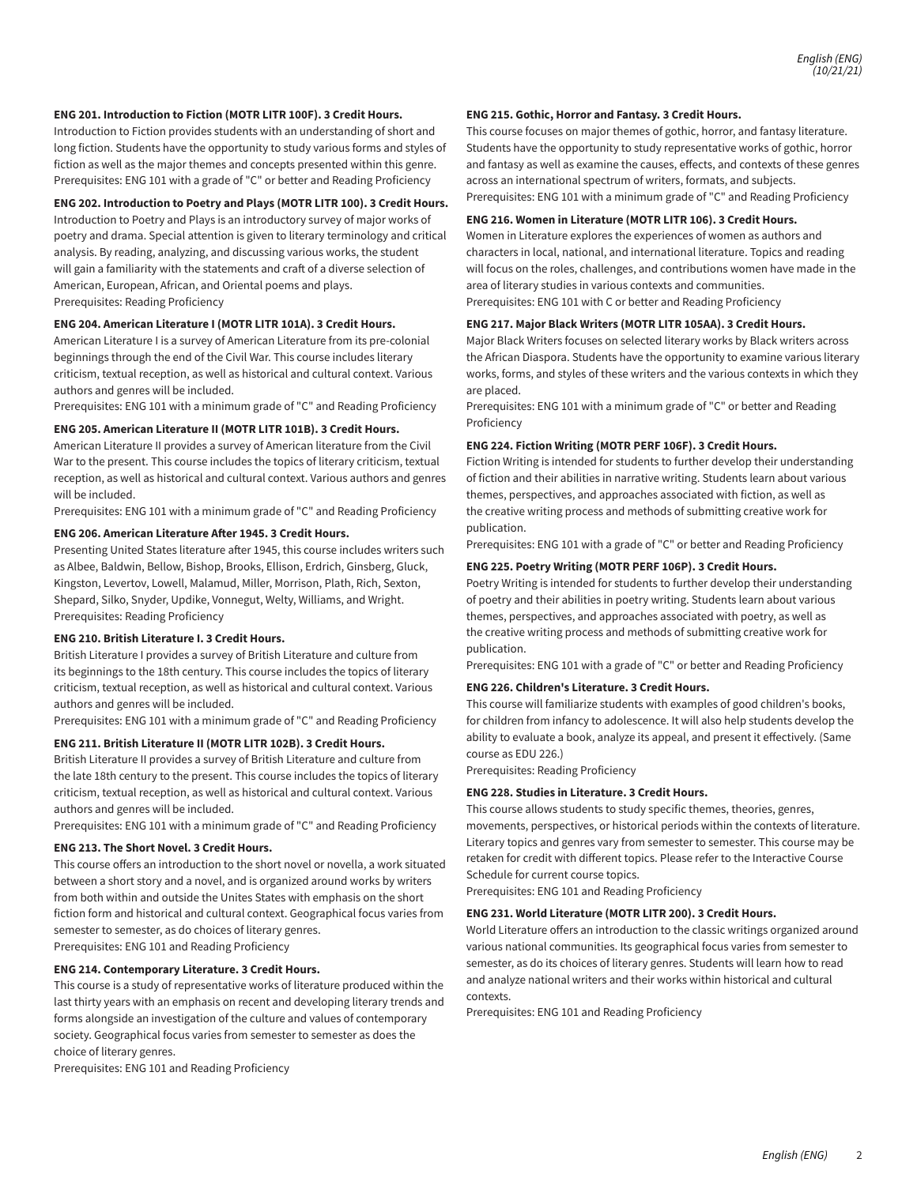#### **ENG 201. Introduction to Fiction (MOTR LITR 100F). 3 Credit Hours.**

Introduction to Fiction provides students with an understanding of short and long fiction. Students have the opportunity to study various forms and styles of fiction as well as the major themes and concepts presented within this genre. Prerequisites: ENG 101 with a grade of "C" or better and Reading Proficiency

# **ENG 202. Introduction to Poetry and Plays (MOTR LITR 100). 3 Credit Hours.**

Introduction to Poetry and Plays is an introductory survey of major works of poetry and drama. Special attention is given to literary terminology and critical analysis. By reading, analyzing, and discussing various works, the student will gain a familiarity with the statements and craft of a diverse selection of American, European, African, and Oriental poems and plays. Prerequisites: Reading Proficiency

#### **ENG 204. American Literature I (MOTR LITR 101A). 3 Credit Hours.**

American Literature I is a survey of American Literature from its pre-colonial beginnings through the end of the Civil War. This course includes literary criticism, textual reception, as well as historical and cultural context. Various authors and genres will be included.

Prerequisites: ENG 101 with a minimum grade of "C" and Reading Proficiency

#### **ENG 205. American Literature II (MOTR LITR 101B). 3 Credit Hours.**

American Literature II provides a survey of American literature from the Civil War to the present. This course includes the topics of literary criticism, textual reception, as well as historical and cultural context. Various authors and genres will be included.

Prerequisites: ENG 101 with a minimum grade of "C" and Reading Proficiency

# **ENG 206. American Literature Aer 1945. 3 Credit Hours.**

Presenting United States literature after 1945, this course includes writers such as Albee, Baldwin, Bellow, Bishop, Brooks, Ellison, Erdrich, Ginsberg, Gluck, Kingston, Levertov, Lowell, Malamud, Miller, Morrison, Plath, Rich, Sexton, Shepard, Silko, Snyder, Updike, Vonnegut, Welty, Williams, and Wright. Prerequisites: Reading Proficiency

#### **ENG 210. British Literature I. 3 Credit Hours.**

British Literature I provides a survey of British Literature and culture from its beginnings to the 18th century. This course includes the topics of literary criticism, textual reception, as well as historical and cultural context. Various authors and genres will be included.

Prerequisites: ENG 101 with a minimum grade of "C" and Reading Proficiency

# **ENG 211. British Literature II (MOTR LITR 102B). 3 Credit Hours.**

British Literature II provides a survey of British Literature and culture from the late 18th century to the present. This course includes the topics of literary criticism, textual reception, as well as historical and cultural context. Various authors and genres will be included.

Prerequisites: ENG 101 with a minimum grade of "C" and Reading Proficiency

#### **ENG 213. The Short Novel. 3 Credit Hours.**

This course offers an introduction to the short novel or novella, a work situated between a short story and a novel, and is organized around works by writers from both within and outside the Unites States with emphasis on the short fiction form and historical and cultural context. Geographical focus varies from semester to semester, as do choices of literary genres. Prerequisites: ENG 101 and Reading Proficiency

#### **ENG 214. Contemporary Literature. 3 Credit Hours.**

This course is a study of representative works of literature produced within the last thirty years with an emphasis on recent and developing literary trends and forms alongside an investigation of the culture and values of contemporary society. Geographical focus varies from semester to semester as does the choice of literary genres.

Prerequisites: ENG 101 and Reading Proficiency

#### **ENG 215. Gothic, Horror and Fantasy. 3 Credit Hours.**

This course focuses on major themes of gothic, horror, and fantasy literature. Students have the opportunity to study representative works of gothic, horror and fantasy as well as examine the causes, effects, and contexts of these genres across an international spectrum of writers, formats, and subjects. Prerequisites: ENG 101 with a minimum grade of "C" and Reading Proficiency

#### **ENG 216. Women in Literature (MOTR LITR 106). 3 Credit Hours.**

Women in Literature explores the experiences of women as authors and characters in local, national, and international literature. Topics and reading will focus on the roles, challenges, and contributions women have made in the area of literary studies in various contexts and communities.

Prerequisites: ENG 101 with C or better and Reading Proficiency

#### **ENG 217. Major Black Writers (MOTR LITR 105AA). 3 Credit Hours.**

Major Black Writers focuses on selected literary works by Black writers across the African Diaspora. Students have the opportunity to examine various literary works, forms, and styles of these writers and the various contexts in which they are placed.

Prerequisites: ENG 101 with a minimum grade of "C" or better and Reading Proficiency

#### **ENG 224. Fiction Writing (MOTR PERF 106F). 3 Credit Hours.**

Fiction Writing is intended for students to further develop their understanding of fiction and their abilities in narrative writing. Students learn about various themes, perspectives, and approaches associated with fiction, as well as the creative writing process and methods of submitting creative work for publication.

Prerequisites: ENG 101 with a grade of "C" or better and Reading Proficiency

#### **ENG 225. Poetry Writing (MOTR PERF 106P). 3 Credit Hours.**

Poetry Writing is intended for students to further develop their understanding of poetry and their abilities in poetry writing. Students learn about various themes, perspectives, and approaches associated with poetry, as well as the creative writing process and methods of submitting creative work for publication.

Prerequisites: ENG 101 with a grade of "C" or better and Reading Proficiency

#### **ENG 226. Children's Literature. 3 Credit Hours.**

This course will familiarize students with examples of good children's books, for children from infancy to adolescence. It will also help students develop the ability to evaluate a book, analyze its appeal, and present it effectively. (Same course as EDU 226.)

Prerequisites: Reading Proficiency

#### **ENG 228. Studies in Literature. 3 Credit Hours.**

This course allows students to study specific themes, theories, genres, movements, perspectives, or historical periods within the contexts of literature. Literary topics and genres vary from semester to semester. This course may be retaken for credit with different topics. Please refer to the Interactive Course Schedule for current course topics.

Prerequisites: ENG 101 and Reading Proficiency

# **ENG 231. World Literature (MOTR LITR 200). 3 Credit Hours.**

World Literature offers an introduction to the classic writings organized around various national communities. Its geographical focus varies from semester to semester, as do its choices of literary genres. Students will learn how to read and analyze national writers and their works within historical and cultural contexts.

Prerequisites: ENG 101 and Reading Proficiency